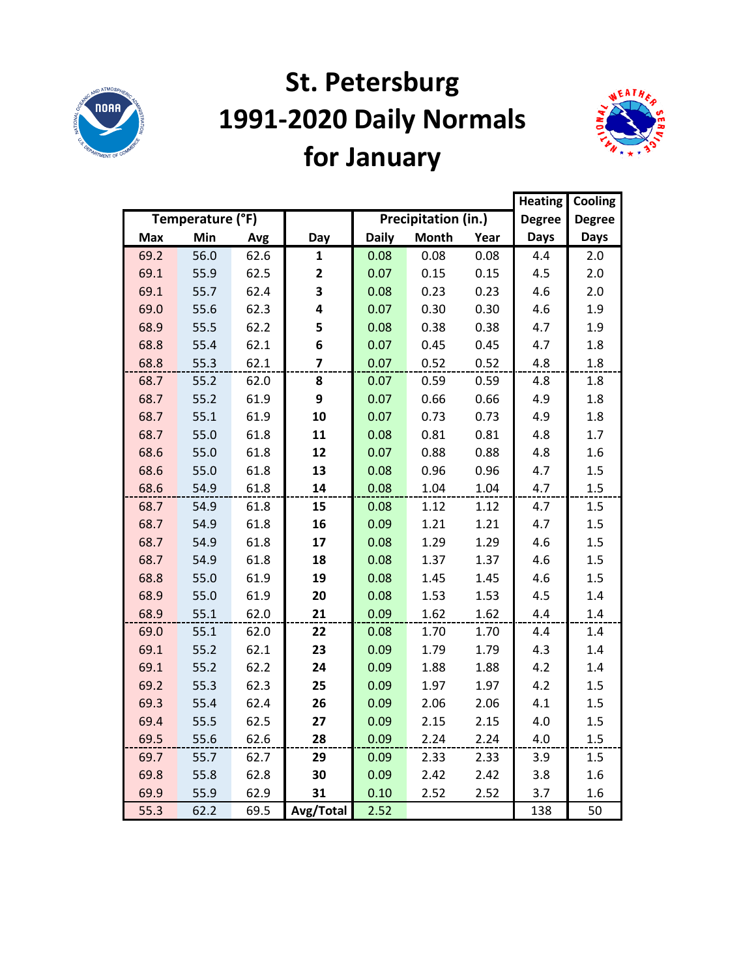

# **St. Petersburg 1991-2020 Daily Normals for January**



|            |                  |      |              |              |                            |      | <b>Heating</b> | Cooling       |
|------------|------------------|------|--------------|--------------|----------------------------|------|----------------|---------------|
|            | Temperature (°F) |      |              |              | <b>Precipitation (in.)</b> |      | <b>Degree</b>  | <b>Degree</b> |
| <b>Max</b> | Min              | Avg  | Day          | <b>Daily</b> | <b>Month</b>               | Year | <b>Days</b>    | <b>Days</b>   |
| 69.2       | 56.0             | 62.6 | 1            | 0.08         | 0.08                       | 0.08 | 4.4            | 2.0           |
| 69.1       | 55.9             | 62.5 | $\mathbf{2}$ | 0.07         | 0.15                       | 0.15 | 4.5            | 2.0           |
| 69.1       | 55.7             | 62.4 | 3            | 0.08         | 0.23                       | 0.23 | 4.6            | 2.0           |
| 69.0       | 55.6             | 62.3 | 4            | 0.07         | 0.30                       | 0.30 | 4.6            | 1.9           |
| 68.9       | 55.5             | 62.2 | 5            | 0.08         | 0.38                       | 0.38 | 4.7            | 1.9           |
| 68.8       | 55.4             | 62.1 | 6            | 0.07         | 0.45                       | 0.45 | 4.7            | 1.8           |
| 68.8       | 55.3             | 62.1 | 7            | 0.07         | 0.52                       | 0.52 | 4.8            | 1.8           |
| 68.7       | 55.2             | 62.0 | 8            | 0.07         | 0.59                       | 0.59 | 4.8            | 1.8           |
| 68.7       | 55.2             | 61.9 | 9            | 0.07         | 0.66                       | 0.66 | 4.9            | 1.8           |
| 68.7       | 55.1             | 61.9 | 10           | 0.07         | 0.73                       | 0.73 | 4.9            | 1.8           |
| 68.7       | 55.0             | 61.8 | 11           | 0.08         | 0.81                       | 0.81 | 4.8            | 1.7           |
| 68.6       | 55.0             | 61.8 | 12           | 0.07         | 0.88                       | 0.88 | 4.8            | 1.6           |
| 68.6       | 55.0             | 61.8 | 13           | 0.08         | 0.96                       | 0.96 | 4.7            | 1.5           |
| 68.6       | 54.9             | 61.8 | 14           | 0.08         | 1.04                       | 1.04 | 4.7            | 1.5           |
| 68.7       | 54.9             | 61.8 | 15           | 0.08         | 1.12                       | 1.12 | 4.7            | 1.5           |
| 68.7       | 54.9             | 61.8 | 16           | 0.09         | 1.21                       | 1.21 | 4.7            | 1.5           |
| 68.7       | 54.9             | 61.8 | 17           | 0.08         | 1.29                       | 1.29 | 4.6            | 1.5           |
| 68.7       | 54.9             | 61.8 | 18           | 0.08         | 1.37                       | 1.37 | 4.6            | 1.5           |
| 68.8       | 55.0             | 61.9 | 19           | 0.08         | 1.45                       | 1.45 | 4.6            | 1.5           |
| 68.9       | 55.0             | 61.9 | 20           | 0.08         | 1.53                       | 1.53 | 4.5            | 1.4           |
| 68.9       | 55.1             | 62.0 | 21           | 0.09         | 1.62                       | 1.62 | 4.4            | 1.4           |
| 69.0       | 55.1             | 62.0 | 22           | 0.08         | 1.70                       | 1.70 | 4.4            | 1.4           |
| 69.1       | 55.2             | 62.1 | 23           | 0.09         | 1.79                       | 1.79 | 4.3            | 1.4           |
| 69.1       | 55.2             | 62.2 | 24           | 0.09         | 1.88                       | 1.88 | 4.2            | 1.4           |
| 69.2       | 55.3             | 62.3 | 25           | 0.09         | 1.97                       | 1.97 | 4.2            | 1.5           |
| 69.3       | 55.4             | 62.4 | 26           | 0.09         | 2.06                       | 2.06 | 4.1            | 1.5           |
| 69.4       | 55.5             | 62.5 | 27           | 0.09         | 2.15                       | 2.15 | 4.0            | 1.5           |
| 69.5       | 55.6             | 62.6 | 28           | 0.09         | 2.24                       | 2.24 | 4.0            | 1.5           |
| 69.7       | 55.7             | 62.7 | 29           | 0.09         | 2.33                       | 2.33 | 3.9            | 1.5           |
| 69.8       | 55.8             | 62.8 | 30           | 0.09         | 2.42                       | 2.42 | 3.8            | 1.6           |
| 69.9       | 55.9             | 62.9 | 31           | 0.10         | 2.52                       | 2.52 | 3.7            | 1.6           |
| 55.3       | 62.2             | 69.5 | Avg/Total    | 2.52         |                            |      | 138            | 50            |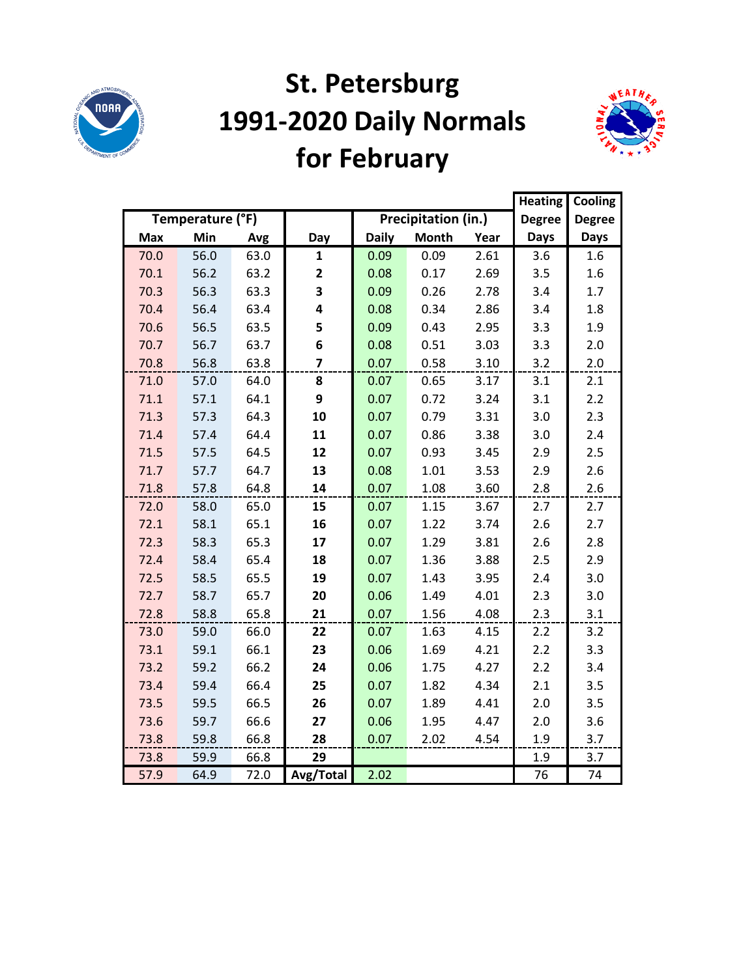

### **St. Petersburg 1991-2020 Daily Normals for February**



|            |                  |      |                         |              |                     |      | <b>Heating</b> | Cooling       |
|------------|------------------|------|-------------------------|--------------|---------------------|------|----------------|---------------|
|            | Temperature (°F) |      |                         |              | Precipitation (in.) |      | <b>Degree</b>  | <b>Degree</b> |
| <b>Max</b> | Min              | Avg  | Day                     | <b>Daily</b> | <b>Month</b>        | Year | <b>Days</b>    | <b>Days</b>   |
| 70.0       | 56.0             | 63.0 | $\mathbf{1}$            | 0.09         | 0.09                | 2.61 | 3.6            | 1.6           |
| 70.1       | 56.2             | 63.2 | $\overline{\mathbf{2}}$ | 0.08         | 0.17                | 2.69 | 3.5            | 1.6           |
| 70.3       | 56.3             | 63.3 | 3                       | 0.09         | 0.26                | 2.78 | 3.4            | 1.7           |
| 70.4       | 56.4             | 63.4 | 4                       | 0.08         | 0.34                | 2.86 | 3.4            | 1.8           |
| 70.6       | 56.5             | 63.5 | 5                       | 0.09         | 0.43                | 2.95 | 3.3            | 1.9           |
| 70.7       | 56.7             | 63.7 | 6                       | 0.08         | 0.51                | 3.03 | 3.3            | 2.0           |
| 70.8       | 56.8             | 63.8 | $\overline{\mathbf{z}}$ | 0.07         | 0.58                | 3.10 | 3.2            | 2.0           |
| 71.0       | 57.0             | 64.0 | 8                       | 0.07         | 0.65                | 3.17 | 3.1            | 2.1           |
| 71.1       | 57.1             | 64.1 | 9                       | 0.07         | 0.72                | 3.24 | 3.1            | 2.2           |
| 71.3       | 57.3             | 64.3 | 10                      | 0.07         | 0.79                | 3.31 | 3.0            | 2.3           |
| 71.4       | 57.4             | 64.4 | 11                      | 0.07         | 0.86                | 3.38 | 3.0            | 2.4           |
| 71.5       | 57.5             | 64.5 | 12                      | 0.07         | 0.93                | 3.45 | 2.9            | 2.5           |
| 71.7       | 57.7             | 64.7 | 13                      | 0.08         | 1.01                | 3.53 | 2.9            | 2.6           |
| 71.8       | 57.8             | 64.8 | 14                      | 0.07         | 1.08                | 3.60 | 2.8            | 2.6           |
| 72.0       | 58.0             | 65.0 | 15                      | 0.07         | 1.15                | 3.67 | 2.7            | 2.7           |
| 72.1       | 58.1             | 65.1 | 16                      | 0.07         | 1.22                | 3.74 | 2.6            | 2.7           |
| 72.3       | 58.3             | 65.3 | 17                      | 0.07         | 1.29                | 3.81 | 2.6            | 2.8           |
| 72.4       | 58.4             | 65.4 | 18                      | 0.07         | 1.36                | 3.88 | 2.5            | 2.9           |
| 72.5       | 58.5             | 65.5 | 19                      | 0.07         | 1.43                | 3.95 | 2.4            | 3.0           |
| 72.7       | 58.7             | 65.7 | 20                      | 0.06         | 1.49                | 4.01 | 2.3            | 3.0           |
| 72.8       | 58.8             | 65.8 | 21                      | 0.07         | 1.56                | 4.08 | 2.3            | 3.1           |
| 73.0       | 59.0             | 66.0 | 22                      | 0.07         | 1.63                | 4.15 | 2.2            | 3.2           |
| 73.1       | 59.1             | 66.1 | 23                      | 0.06         | 1.69                | 4.21 | 2.2            | 3.3           |
| 73.2       | 59.2             | 66.2 | 24                      | 0.06         | 1.75                | 4.27 | 2.2            | 3.4           |
| 73.4       | 59.4             | 66.4 | 25                      | 0.07         | 1.82                | 4.34 | 2.1            | 3.5           |
| 73.5       | 59.5             | 66.5 | 26                      | 0.07         | 1.89                | 4.41 | 2.0            | 3.5           |
| 73.6       | 59.7             | 66.6 | 27                      | 0.06         | 1.95                | 4.47 | 2.0            | 3.6           |
| 73.8       | 59.8             | 66.8 | 28                      | 0.07         | 2.02                | 4.54 | 1.9            | 3.7           |
| 73.8       | 59.9             | 66.8 | 29                      |              |                     |      | 1.9            | 3.7           |
| 57.9       | 64.9             | 72.0 | Avg/Total               | 2.02         |                     |      | 76             | 74            |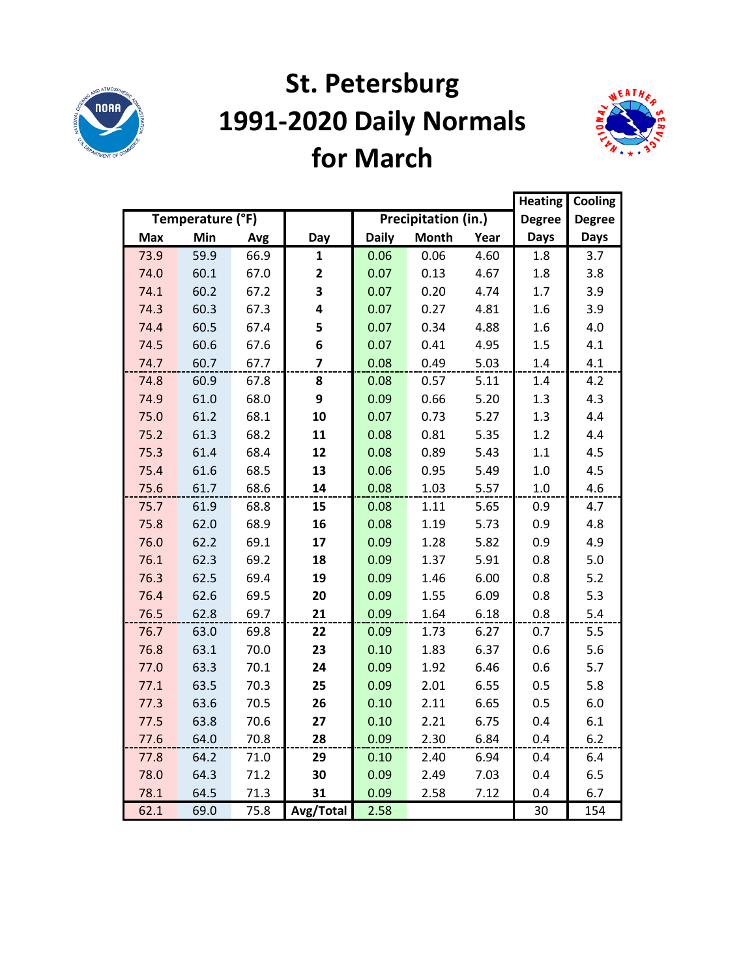

## **St. Petersburg 1991-2020 Daily Normals for March**



|            |                  |      |              |              |                     | <b>Heating</b> | Cooling       |               |
|------------|------------------|------|--------------|--------------|---------------------|----------------|---------------|---------------|
|            | Temperature (°F) |      |              |              | Precipitation (in.) |                | <b>Degree</b> | <b>Degree</b> |
| <b>Max</b> | Min              | Avg  | Day          | <b>Daily</b> | <b>Month</b>        | Year           | <b>Days</b>   | <b>Days</b>   |
| 73.9       | 59.9             | 66.9 | 1            | 0.06         | 0.06                | 4.60           | 1.8           | 3.7           |
| 74.0       | 60.1             | 67.0 | $\mathbf{2}$ | 0.07         | 0.13                | 4.67           | 1.8           | 3.8           |
| 74.1       | 60.2             | 67.2 | 3            | 0.07         | 0.20                | 4.74           | 1.7           | 3.9           |
| 74.3       | 60.3             | 67.3 | 4            | 0.07         | 0.27                | 4.81           | 1.6           | 3.9           |
| 74.4       | 60.5             | 67.4 | 5            | 0.07         | 0.34                | 4.88           | 1.6           | 4.0           |
| 74.5       | 60.6             | 67.6 | 6            | 0.07         | 0.41                | 4.95           | 1.5           | 4.1           |
| 74.7       | 60.7             | 67.7 | 7            | 0.08         | 0.49                | 5.03           | $1.4\,$       | 4.1           |
| 74.8       | 60.9             | 67.8 | 8            | 0.08         | 0.57                | 5.11           | 1.4           | 4.2           |
| 74.9       | 61.0             | 68.0 | 9            | 0.09         | 0.66                | 5.20           | 1.3           | 4.3           |
| 75.0       | 61.2             | 68.1 | 10           | 0.07         | 0.73                | 5.27           | 1.3           | 4.4           |
| 75.2       | 61.3             | 68.2 | 11           | 0.08         | 0.81                | 5.35           | 1.2           | 4.4           |
| 75.3       | 61.4             | 68.4 | 12           | 0.08         | 0.89                | 5.43           | 1.1           | 4.5           |
| 75.4       | 61.6             | 68.5 | 13           | 0.06         | 0.95                | 5.49           | 1.0           | 4.5           |
| 75.6       | 61.7             | 68.6 | 14           | 0.08         | 1.03                | 5.57           | 1.0           | 4.6           |
| 75.7       | 61.9             | 68.8 | 15           | 0.08         | 1.11                | 5.65           | 0.9           | 4.7           |
| 75.8       | 62.0             | 68.9 | 16           | 0.08         | 1.19                | 5.73           | 0.9           | 4.8           |
| 76.0       | 62.2             | 69.1 | 17           | 0.09         | 1.28                | 5.82           | 0.9           | 4.9           |
| 76.1       | 62.3             | 69.2 | 18           | 0.09         | 1.37                | 5.91           | 0.8           | 5.0           |
| 76.3       | 62.5             | 69.4 | 19           | 0.09         | 1.46                | 6.00           | 0.8           | $5.2$         |
| 76.4       | 62.6             | 69.5 | 20           | 0.09         | 1.55                | 6.09           | 0.8           | 5.3           |
| 76.5       | 62.8             | 69.7 | 21           | 0.09         | 1.64                | 6.18           | 0.8           | 5.4           |
| 76.7       | 63.0             | 69.8 | 22           | 0.09         | 1.73                | 6.27           | 0.7           | 5.5           |
| 76.8       | 63.1             | 70.0 | 23           | 0.10         | 1.83                | 6.37           | 0.6           | 5.6           |
| 77.0       | 63.3             | 70.1 | 24           | 0.09         | 1.92                | 6.46           | 0.6           | 5.7           |
| 77.1       | 63.5             | 70.3 | 25           | 0.09         | 2.01                | 6.55           | 0.5           | 5.8           |
| 77.3       | 63.6             | 70.5 | 26           | 0.10         | 2.11                | 6.65           | 0.5           | 6.0           |
| 77.5       | 63.8             | 70.6 | 27           | 0.10         | 2.21                | 6.75           | 0.4           | 6.1           |
| 77.6       | 64.0             | 70.8 | 28           | 0.09         | 2.30                | 6.84           | 0.4           | 6.2           |
| 77.8       | 64.2             | 71.0 | 29           | 0.10         | 2.40                | 6.94           | 0.4           | 6.4           |
| 78.0       | 64.3             | 71.2 | 30           | 0.09         | 2.49                | 7.03           | 0.4           | 6.5           |
| 78.1       | 64.5             | 71.3 | 31           | 0.09         | 2.58                | 7.12           | 0.4           | 6.7           |
| 62.1       | 69.0             | 75.8 | Avg/Total    | 2.58         |                     |                | 30            | 154           |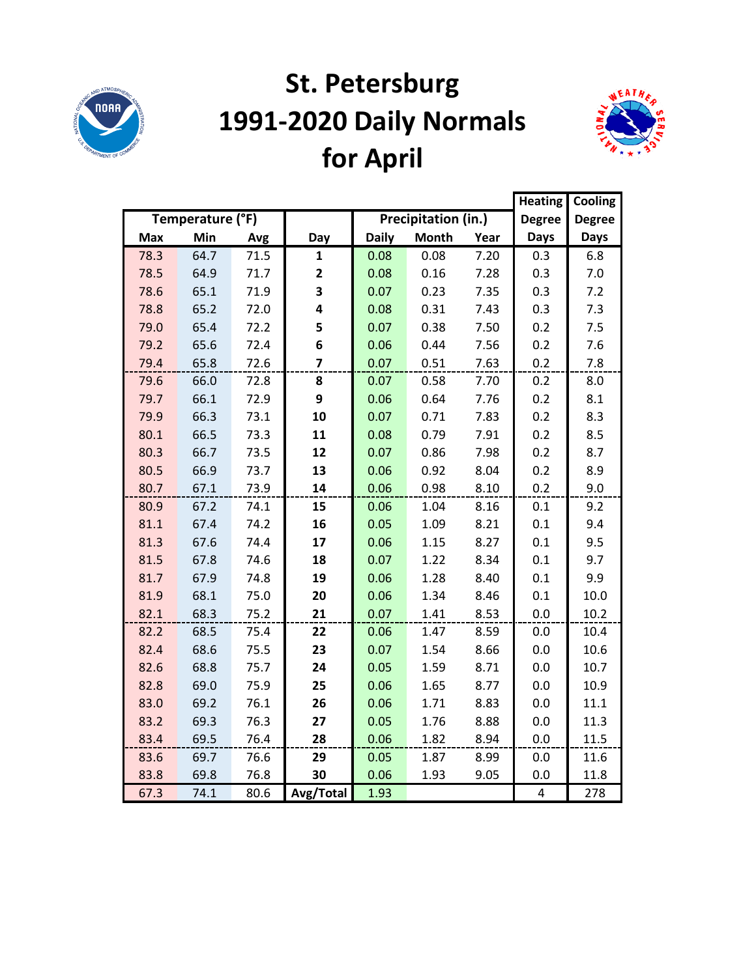

# **St. Petersburg 1991-2020 Daily Normals for April**



|      |                  |      |                |              |                     |      | <b>Heating</b> | Cooling       |
|------|------------------|------|----------------|--------------|---------------------|------|----------------|---------------|
|      | Temperature (°F) |      |                |              | Precipitation (in.) |      | <b>Degree</b>  | <b>Degree</b> |
| Max  | Min              | Avg  | Day            | <b>Daily</b> | <b>Month</b>        | Year | <b>Days</b>    | <b>Days</b>   |
| 78.3 | 64.7             | 71.5 | $\mathbf{1}$   | 0.08         | 0.08                | 7.20 | 0.3            | 6.8           |
| 78.5 | 64.9             | 71.7 | 2              | 0.08         | 0.16                | 7.28 | 0.3            | 7.0           |
| 78.6 | 65.1             | 71.9 | 3              | 0.07         | 0.23                | 7.35 | 0.3            | 7.2           |
| 78.8 | 65.2             | 72.0 | 4              | 0.08         | 0.31                | 7.43 | 0.3            | 7.3           |
| 79.0 | 65.4             | 72.2 | 5              | 0.07         | 0.38                | 7.50 | 0.2            | 7.5           |
| 79.2 | 65.6             | 72.4 | 6              | 0.06         | 0.44                | 7.56 | 0.2            | 7.6           |
| 79.4 | 65.8             | 72.6 | $\overline{7}$ | 0.07         | 0.51                | 7.63 | 0.2            | 7.8           |
| 79.6 | 66.0             | 72.8 | 8              | 0.07         | 0.58                | 7.70 | 0.2            | 8.0           |
| 79.7 | 66.1             | 72.9 | 9              | 0.06         | 0.64                | 7.76 | 0.2            | 8.1           |
| 79.9 | 66.3             | 73.1 | 10             | 0.07         | 0.71                | 7.83 | 0.2            | 8.3           |
| 80.1 | 66.5             | 73.3 | 11             | 0.08         | 0.79                | 7.91 | 0.2            | 8.5           |
| 80.3 | 66.7             | 73.5 | 12             | 0.07         | 0.86                | 7.98 | 0.2            | 8.7           |
| 80.5 | 66.9             | 73.7 | 13             | 0.06         | 0.92                | 8.04 | 0.2            | 8.9           |
| 80.7 | 67.1             | 73.9 | 14             | 0.06         | 0.98                | 8.10 | 0.2            | 9.0           |
| 80.9 | 67.2             | 74.1 | 15             | 0.06         | 1.04                | 8.16 | 0.1            | 9.2           |
| 81.1 | 67.4             | 74.2 | 16             | 0.05         | 1.09                | 8.21 | 0.1            | 9.4           |
| 81.3 | 67.6             | 74.4 | 17             | 0.06         | 1.15                | 8.27 | 0.1            | 9.5           |
| 81.5 | 67.8             | 74.6 | 18             | 0.07         | 1.22                | 8.34 | 0.1            | 9.7           |
| 81.7 | 67.9             | 74.8 | 19             | 0.06         | 1.28                | 8.40 | 0.1            | 9.9           |
| 81.9 | 68.1             | 75.0 | 20             | 0.06         | 1.34                | 8.46 | 0.1            | 10.0          |
| 82.1 | 68.3             | 75.2 | 21             | 0.07         | 1.41                | 8.53 | 0.0            | 10.2          |
| 82.2 | 68.5             | 75.4 | 22             | 0.06         | 1.47                | 8.59 | 0.0            | 10.4          |
| 82.4 | 68.6             | 75.5 | 23             | 0.07         | 1.54                | 8.66 | 0.0            | 10.6          |
| 82.6 | 68.8             | 75.7 | 24             | 0.05         | 1.59                | 8.71 | 0.0            | 10.7          |
| 82.8 | 69.0             | 75.9 | 25             | 0.06         | 1.65                | 8.77 | 0.0            | 10.9          |
| 83.0 | 69.2             | 76.1 | 26             | 0.06         | 1.71                | 8.83 | 0.0            | 11.1          |
| 83.2 | 69.3             | 76.3 | 27             | 0.05         | 1.76                | 8.88 | 0.0            | 11.3          |
| 83.4 | 69.5             | 76.4 | 28             | 0.06         | 1.82                | 8.94 | 0.0            | 11.5          |
| 83.6 | 69.7             | 76.6 | 29             | 0.05         | 1.87                | 8.99 | 0.0            | 11.6          |
| 83.8 | 69.8             | 76.8 | 30             | 0.06         | 1.93                | 9.05 | 0.0            | 11.8          |
| 67.3 | 74.1             | 80.6 | Avg/Total      | 1.93         |                     |      | 4              | 278           |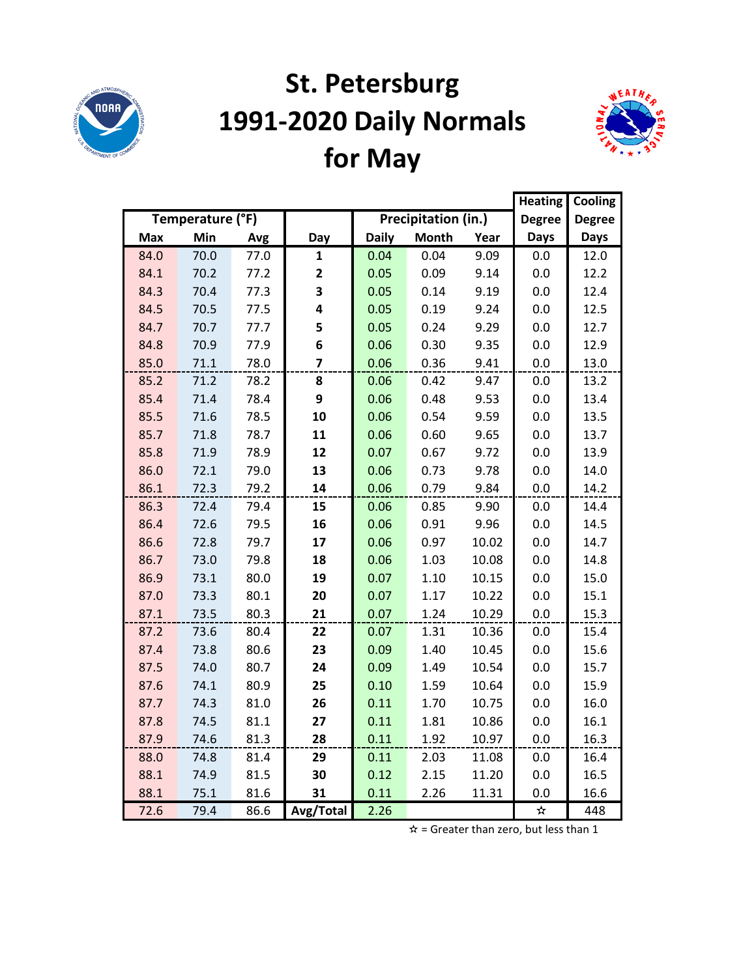

# **St. Petersburg 1991-2020 Daily Normals for May**



|            |                  |      |              |              |                     |       | <b>Heating</b> | Cooling       |
|------------|------------------|------|--------------|--------------|---------------------|-------|----------------|---------------|
|            | Temperature (°F) |      |              |              | Precipitation (in.) |       | <b>Degree</b>  | <b>Degree</b> |
| <b>Max</b> | Min              | Avg  | Day          | <b>Daily</b> | <b>Month</b>        | Year  | <b>Days</b>    | <b>Days</b>   |
| 84.0       | 70.0             | 77.0 | 1            | 0.04         | 0.04                | 9.09  | 0.0            | 12.0          |
| 84.1       | 70.2             | 77.2 | $\mathbf{2}$ | 0.05         | 0.09                | 9.14  | 0.0            | 12.2          |
| 84.3       | 70.4             | 77.3 | 3            | 0.05         | 0.14                | 9.19  | 0.0            | 12.4          |
| 84.5       | 70.5             | 77.5 | 4            | 0.05         | 0.19                | 9.24  | 0.0            | 12.5          |
| 84.7       | 70.7             | 77.7 | 5            | 0.05         | 0.24                | 9.29  | 0.0            | 12.7          |
| 84.8       | 70.9             | 77.9 | 6            | 0.06         | 0.30                | 9.35  | 0.0            | 12.9          |
| 85.0       | 71.1             | 78.0 | 7            | 0.06         | 0.36                | 9.41  | $0.0\,$        | 13.0          |
| 85.2       | 71.2             | 78.2 | 8            | 0.06         | 0.42                | 9.47  | 0.0            | 13.2          |
| 85.4       | 71.4             | 78.4 | 9            | 0.06         | 0.48                | 9.53  | 0.0            | 13.4          |
| 85.5       | 71.6             | 78.5 | 10           | 0.06         | 0.54                | 9.59  | 0.0            | 13.5          |
| 85.7       | 71.8             | 78.7 | 11           | 0.06         | 0.60                | 9.65  | 0.0            | 13.7          |
| 85.8       | 71.9             | 78.9 | 12           | 0.07         | 0.67                | 9.72  | 0.0            | 13.9          |
| 86.0       | 72.1             | 79.0 | 13           | 0.06         | 0.73                | 9.78  | 0.0            | 14.0          |
| 86.1       | 72.3             | 79.2 | 14           | 0.06         | 0.79                | 9.84  | 0.0            | 14.2          |
| 86.3       | 72.4             | 79.4 | 15           | 0.06         | 0.85                | 9.90  | 0.0            | 14.4          |
| 86.4       | 72.6             | 79.5 | 16           | 0.06         | 0.91                | 9.96  | 0.0            | 14.5          |
| 86.6       | 72.8             | 79.7 | 17           | 0.06         | 0.97                | 10.02 | 0.0            | 14.7          |
| 86.7       | 73.0             | 79.8 | 18           | 0.06         | 1.03                | 10.08 | 0.0            | 14.8          |
| 86.9       | 73.1             | 80.0 | 19           | 0.07         | 1.10                | 10.15 | 0.0            | 15.0          |
| 87.0       | 73.3             | 80.1 | 20           | 0.07         | 1.17                | 10.22 | 0.0            | 15.1          |
| 87.1       | 73.5             | 80.3 | 21           | 0.07         | 1.24                | 10.29 | 0.0            | 15.3          |
| 87.2       | 73.6             | 80.4 | 22           | 0.07         | 1.31                | 10.36 | 0.0            | 15.4          |
| 87.4       | 73.8             | 80.6 | 23           | 0.09         | 1.40                | 10.45 | 0.0            | 15.6          |
| 87.5       | 74.0             | 80.7 | 24           | 0.09         | 1.49                | 10.54 | 0.0            | 15.7          |
| 87.6       | 74.1             | 80.9 | 25           | 0.10         | 1.59                | 10.64 | 0.0            | 15.9          |
| 87.7       | 74.3             | 81.0 | 26           | 0.11         | 1.70                | 10.75 | 0.0            | 16.0          |
| 87.8       | 74.5             | 81.1 | 27           | 0.11         | 1.81                | 10.86 | 0.0            | 16.1          |
| 87.9       | 74.6             | 81.3 | 28           | 0.11         | 1.92                | 10.97 | 0.0            | 16.3          |
| 88.0       | 74.8             | 81.4 | 29           | 0.11         | 2.03                | 11.08 | 0.0            | 16.4          |
| 88.1       | 74.9             | 81.5 | 30           | 0.12         | 2.15                | 11.20 | 0.0            | 16.5          |
| 88.1       | 75.1             | 81.6 | 31           | 0.11         | 2.26                | 11.31 | 0.0            | 16.6          |
| 72.6       | 79.4             | 86.6 | Avg/Total    | 2.26         |                     |       | ☆              | 448           |

 $\hat{x}$  = Greater than zero, but less than 1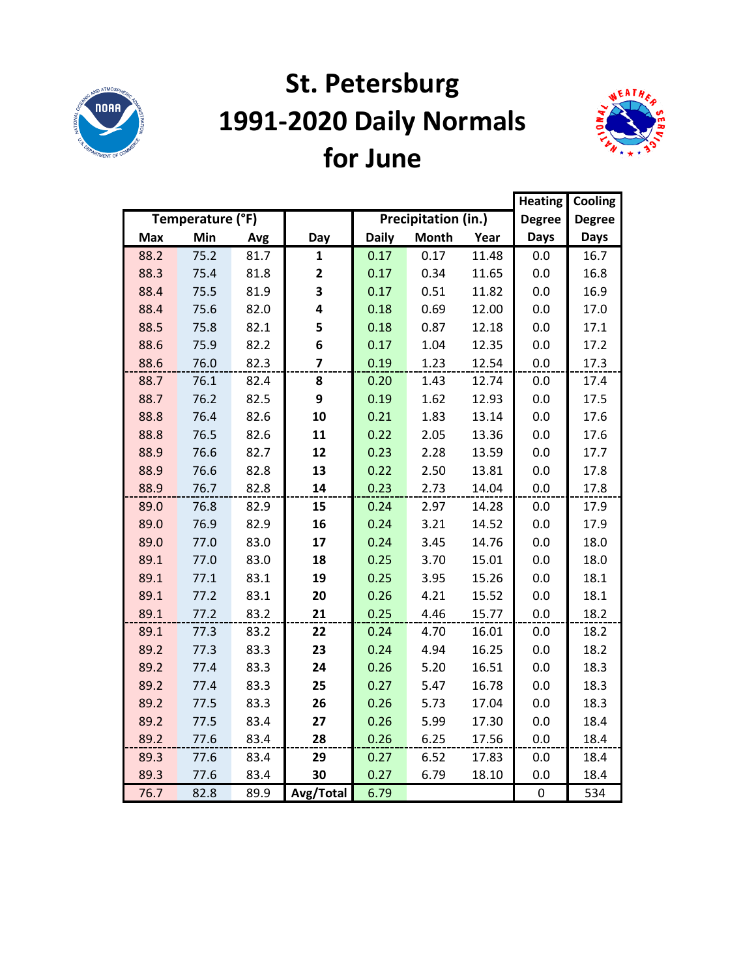

# **St. Petersburg 1991-2020 Daily Normals for June**



|            |                  |      |                |              |                     |       |               | Cooling       |
|------------|------------------|------|----------------|--------------|---------------------|-------|---------------|---------------|
|            | Temperature (°F) |      |                |              | Precipitation (in.) |       | <b>Degree</b> | <b>Degree</b> |
| <b>Max</b> | Min              | Avg  | Day            | <b>Daily</b> | <b>Month</b>        | Year  | <b>Days</b>   | <b>Days</b>   |
| 88.2       | 75.2             | 81.7 | $\mathbf{1}$   | 0.17         | 0.17                | 11.48 | 0.0           | 16.7          |
| 88.3       | 75.4             | 81.8 | 2              | 0.17         | 0.34                | 11.65 | 0.0           | 16.8          |
| 88.4       | 75.5             | 81.9 | 3              | 0.17         | 0.51                | 11.82 | 0.0           | 16.9          |
| 88.4       | 75.6             | 82.0 | 4              | 0.18         | 0.69                | 12.00 | 0.0           | 17.0          |
| 88.5       | 75.8             | 82.1 | 5              | 0.18         | 0.87                | 12.18 | 0.0           | 17.1          |
| 88.6       | 75.9             | 82.2 | 6              | 0.17         | 1.04                | 12.35 | 0.0           | 17.2          |
| 88.6       | 76.0             | 82.3 | $\overline{7}$ | 0.19         | 1.23                | 12.54 | 0.0           | 17.3          |
| 88.7       | 76.1             | 82.4 | 8              | 0.20         | 1.43                | 12.74 | 0.0           | 17.4          |
| 88.7       | 76.2             | 82.5 | 9              | 0.19         | 1.62                | 12.93 | 0.0           | 17.5          |
| 88.8       | 76.4             | 82.6 | 10             | 0.21         | 1.83                | 13.14 | 0.0           | 17.6          |
| 88.8       | 76.5             | 82.6 | 11             | 0.22         | 2.05                | 13.36 | 0.0           | 17.6          |
| 88.9       | 76.6             | 82.7 | 12             | 0.23         | 2.28                | 13.59 | 0.0           | 17.7          |
| 88.9       | 76.6             | 82.8 | 13             | 0.22         | 2.50                | 13.81 | 0.0           | 17.8          |
| 88.9       | 76.7             | 82.8 | 14             | 0.23         | 2.73                | 14.04 | 0.0           | 17.8          |
| 89.0       | 76.8             | 82.9 | 15             | 0.24         | 2.97                | 14.28 | 0.0           | 17.9          |
| 89.0       | 76.9             | 82.9 | 16             | 0.24         | 3.21                | 14.52 | 0.0           | 17.9          |
| 89.0       | 77.0             | 83.0 | 17             | 0.24         | 3.45                | 14.76 | 0.0           | 18.0          |
| 89.1       | 77.0             | 83.0 | 18             | 0.25         | 3.70                | 15.01 | 0.0           | 18.0          |
| 89.1       | 77.1             | 83.1 | 19             | 0.25         | 3.95                | 15.26 | 0.0           | 18.1          |
| 89.1       | 77.2             | 83.1 | 20             | 0.26         | 4.21                | 15.52 | 0.0           | 18.1          |
| 89.1       | 77.2             | 83.2 | 21             | 0.25         | 4.46                | 15.77 | 0.0           | 18.2          |
| 89.1       | 77.3             | 83.2 | 22             | 0.24         | 4.70                | 16.01 | 0.0           | 18.2          |
| 89.2       | 77.3             | 83.3 | 23             | 0.24         | 4.94                | 16.25 | 0.0           | 18.2          |
| 89.2       | 77.4             | 83.3 | 24             | 0.26         | 5.20                | 16.51 | 0.0           | 18.3          |
| 89.2       | 77.4             | 83.3 | 25             | 0.27         | 5.47                | 16.78 | 0.0           | 18.3          |
| 89.2       | 77.5             | 83.3 | 26             | 0.26         | 5.73                | 17.04 | 0.0           | 18.3          |
| 89.2       | 77.5             | 83.4 | 27             | 0.26         | 5.99                | 17.30 | 0.0           | 18.4          |
| 89.2       | 77.6             | 83.4 | 28             | 0.26         | 6.25                | 17.56 | 0.0           | 18.4          |
| 89.3       | 77.6             | 83.4 | 29             | 0.27         | 6.52                | 17.83 | 0.0           | 18.4          |
| 89.3       | 77.6             | 83.4 | 30             | 0.27         | 6.79                | 18.10 | 0.0           | 18.4          |
| 76.7       | 82.8             | 89.9 | Avg/Total      | 6.79         |                     |       | $\pmb{0}$     | 534           |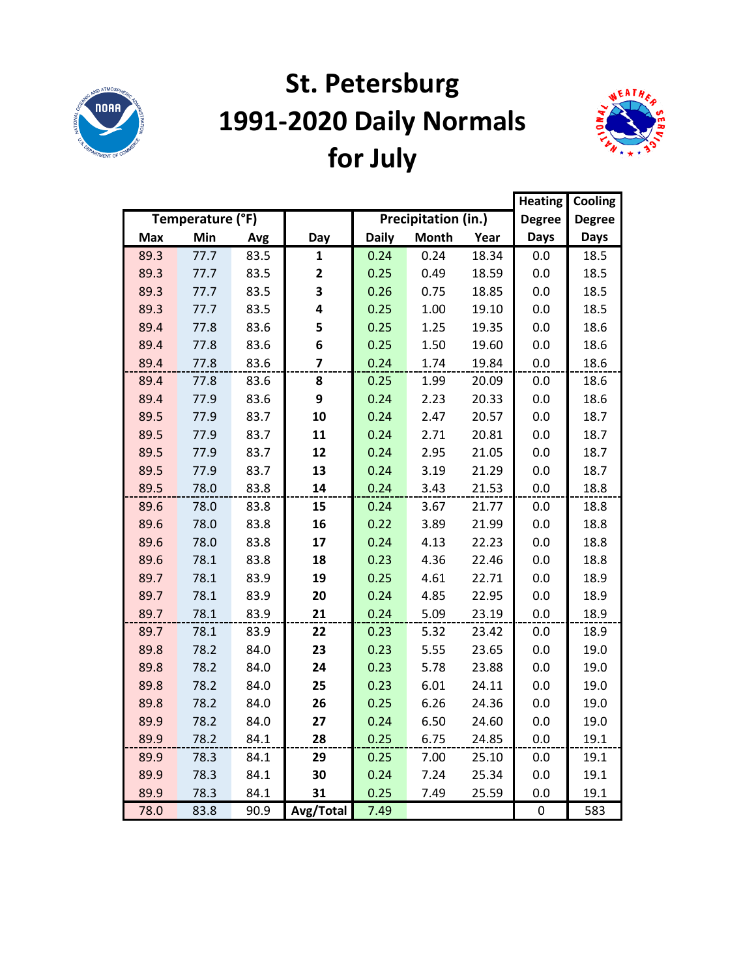

# **St. Petersburg 1991-2020 Daily Normals for July**



|            |                  |      |              |              |                     |       | <b>Heating</b> | Cooling       |
|------------|------------------|------|--------------|--------------|---------------------|-------|----------------|---------------|
|            | Temperature (°F) |      |              |              | Precipitation (in.) |       | <b>Degree</b>  | <b>Degree</b> |
| <b>Max</b> | Min              | Avg  | Day          | <b>Daily</b> | <b>Month</b>        | Year  | <b>Days</b>    | <b>Days</b>   |
| 89.3       | 77.7             | 83.5 | 1            | 0.24         | 0.24                | 18.34 | 0.0            | 18.5          |
| 89.3       | 77.7             | 83.5 | $\mathbf{2}$ | 0.25         | 0.49                | 18.59 | 0.0            | 18.5          |
| 89.3       | 77.7             | 83.5 | 3            | 0.26         | 0.75                | 18.85 | 0.0            | 18.5          |
| 89.3       | 77.7             | 83.5 | 4            | 0.25         | 1.00                | 19.10 | 0.0            | 18.5          |
| 89.4       | 77.8             | 83.6 | 5            | 0.25         | 1.25                | 19.35 | 0.0            | 18.6          |
| 89.4       | 77.8             | 83.6 | 6            | 0.25         | 1.50                | 19.60 | 0.0            | 18.6          |
| 89.4       | 77.8             | 83.6 | 7            | 0.24         | 1.74                | 19.84 | $0.0\,$        | 18.6          |
| 89.4       | 77.8             | 83.6 | 8            | 0.25         | 1.99                | 20.09 | 0.0            | 18.6          |
| 89.4       | 77.9             | 83.6 | 9            | 0.24         | 2.23                | 20.33 | 0.0            | 18.6          |
| 89.5       | 77.9             | 83.7 | 10           | 0.24         | 2.47                | 20.57 | 0.0            | 18.7          |
| 89.5       | 77.9             | 83.7 | 11           | 0.24         | 2.71                | 20.81 | 0.0            | 18.7          |
| 89.5       | 77.9             | 83.7 | 12           | 0.24         | 2.95                | 21.05 | 0.0            | 18.7          |
| 89.5       | 77.9             | 83.7 | 13           | 0.24         | 3.19                | 21.29 | 0.0            | 18.7          |
| 89.5       | 78.0             | 83.8 | 14           | 0.24         | 3.43                | 21.53 | 0.0            | 18.8          |
| 89.6       | 78.0             | 83.8 | 15           | 0.24         | 3.67                | 21.77 | 0.0            | 18.8          |
| 89.6       | 78.0             | 83.8 | 16           | 0.22         | 3.89                | 21.99 | 0.0            | 18.8          |
| 89.6       | 78.0             | 83.8 | 17           | 0.24         | 4.13                | 22.23 | 0.0            | 18.8          |
| 89.6       | 78.1             | 83.8 | 18           | 0.23         | 4.36                | 22.46 | 0.0            | 18.8          |
| 89.7       | 78.1             | 83.9 | 19           | 0.25         | 4.61                | 22.71 | 0.0            | 18.9          |
| 89.7       | 78.1             | 83.9 | 20           | 0.24         | 4.85                | 22.95 | 0.0            | 18.9          |
| 89.7       | 78.1             | 83.9 | 21           | 0.24         | 5.09                | 23.19 | 0.0            | 18.9          |
| 89.7       | 78.1             | 83.9 | 22           | 0.23         | 5.32                | 23.42 | 0.0            | 18.9          |
| 89.8       | 78.2             | 84.0 | 23           | 0.23         | 5.55                | 23.65 | 0.0            | 19.0          |
| 89.8       | 78.2             | 84.0 | 24           | 0.23         | 5.78                | 23.88 | 0.0            | 19.0          |
| 89.8       | 78.2             | 84.0 | 25           | 0.23         | 6.01                | 24.11 | 0.0            | 19.0          |
| 89.8       | 78.2             | 84.0 | 26           | 0.25         | 6.26                | 24.36 | 0.0            | 19.0          |
| 89.9       | 78.2             | 84.0 | 27           | 0.24         | 6.50                | 24.60 | 0.0            | 19.0          |
| 89.9       | 78.2             | 84.1 | 28           | 0.25         | 6.75                | 24.85 | 0.0            | 19.1          |
| 89.9       | 78.3             | 84.1 | 29           | 0.25         | 7.00                | 25.10 | 0.0            | 19.1          |
| 89.9       | 78.3             | 84.1 | 30           | 0.24         | 7.24                | 25.34 | 0.0            | 19.1          |
| 89.9       | 78.3             | 84.1 | 31           | 0.25         | 7.49                | 25.59 | 0.0            | 19.1          |
| 78.0       | 83.8             | 90.9 | Avg/Total    | 7.49         |                     |       | 0              | 583           |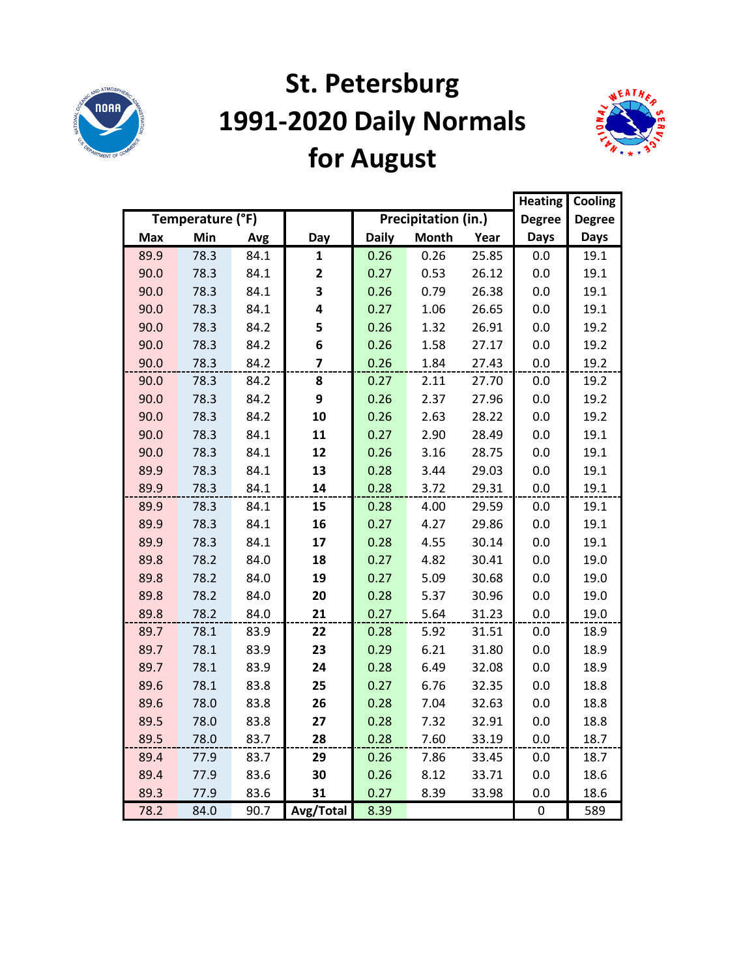

# **St. Petersburg 1991-2020 Daily Normals for August**



|            |                  |      |                         |              |                     |       | <b>Heating</b> | Cooling       |
|------------|------------------|------|-------------------------|--------------|---------------------|-------|----------------|---------------|
|            | Temperature (°F) |      |                         |              | Precipitation (in.) |       | <b>Degree</b>  | <b>Degree</b> |
| <b>Max</b> | Min              | Avg  | Day                     | <b>Daily</b> | <b>Month</b>        | Year  | <b>Days</b>    | <b>Days</b>   |
| 89.9       | 78.3             | 84.1 | 1                       | 0.26         | 0.26                | 25.85 | 0.0            | 19.1          |
| 90.0       | 78.3             | 84.1 | $\mathbf{2}$            | 0.27         | 0.53                | 26.12 | 0.0            | 19.1          |
| 90.0       | 78.3             | 84.1 | 3                       | 0.26         | 0.79                | 26.38 | 0.0            | 19.1          |
| 90.0       | 78.3             | 84.1 | 4                       | 0.27         | 1.06                | 26.65 | 0.0            | 19.1          |
| 90.0       | 78.3             | 84.2 | 5                       | 0.26         | 1.32                | 26.91 | 0.0            | 19.2          |
| 90.0       | 78.3             | 84.2 | 6                       | 0.26         | 1.58                | 27.17 | 0.0            | 19.2          |
| 90.0       | 78.3             | 84.2 | $\overline{\mathbf{z}}$ | 0.26         | 1.84                | 27.43 | 0.0            | 19.2          |
| 90.0       | 78.3             | 84.2 | 8                       | 0.27         | 2.11                | 27.70 | 0.0            | 19.2          |
| 90.0       | 78.3             | 84.2 | 9                       | 0.26         | 2.37                | 27.96 | 0.0            | 19.2          |
| 90.0       | 78.3             | 84.2 | 10                      | 0.26         | 2.63                | 28.22 | 0.0            | 19.2          |
| 90.0       | 78.3             | 84.1 | 11                      | 0.27         | 2.90                | 28.49 | 0.0            | 19.1          |
| 90.0       | 78.3             | 84.1 | 12                      | 0.26         | 3.16                | 28.75 | 0.0            | 19.1          |
| 89.9       | 78.3             | 84.1 | 13                      | 0.28         | 3.44                | 29.03 | 0.0            | 19.1          |
| 89.9       | 78.3             | 84.1 | 14                      | 0.28         | 3.72                | 29.31 | 0.0            | 19.1          |
| 89.9       | 78.3             | 84.1 | 15                      | 0.28         | 4.00                | 29.59 | 0.0            | 19.1          |
| 89.9       | 78.3             | 84.1 | 16                      | 0.27         | 4.27                | 29.86 | 0.0            | 19.1          |
| 89.9       | 78.3             | 84.1 | 17                      | 0.28         | 4.55                | 30.14 | 0.0            | 19.1          |
| 89.8       | 78.2             | 84.0 | 18                      | 0.27         | 4.82                | 30.41 | 0.0            | 19.0          |
| 89.8       | 78.2             | 84.0 | 19                      | 0.27         | 5.09                | 30.68 | 0.0            | 19.0          |
| 89.8       | 78.2             | 84.0 | 20                      | 0.28         | 5.37                | 30.96 | 0.0            | 19.0          |
| 89.8       | 78.2             | 84.0 | 21                      | 0.27         | 5.64                | 31.23 | 0.0            | 19.0          |
| 89.7       | 78.1             | 83.9 | 22                      | 0.28         | 5.92                | 31.51 | 0.0            | 18.9          |
| 89.7       | 78.1             | 83.9 | 23                      | 0.29         | 6.21                | 31.80 | 0.0            | 18.9          |
| 89.7       | 78.1             | 83.9 | 24                      | 0.28         | 6.49                | 32.08 | 0.0            | 18.9          |
| 89.6       | 78.1             | 83.8 | 25                      | 0.27         | 6.76                | 32.35 | 0.0            | 18.8          |
| 89.6       | 78.0             | 83.8 | 26                      | 0.28         | 7.04                | 32.63 | 0.0            | 18.8          |
| 89.5       | 78.0             | 83.8 | 27                      | 0.28         | 7.32                | 32.91 | 0.0            | 18.8          |
| 89.5       | 78.0             | 83.7 | 28                      | 0.28         | 7.60                | 33.19 | 0.0            | 18.7          |
| 89.4       | 77.9             | 83.7 | 29                      | 0.26         | 7.86                | 33.45 | 0.0            | 18.7          |
| 89.4       | 77.9             | 83.6 | 30                      | 0.26         | 8.12                | 33.71 | 0.0            | 18.6          |
| 89.3       | 77.9             | 83.6 | 31                      | 0.27         | 8.39                | 33.98 | 0.0            | 18.6          |
| 78.2       | 84.0             | 90.7 | Avg/Total               | 8.39         |                     |       | 0              | 589           |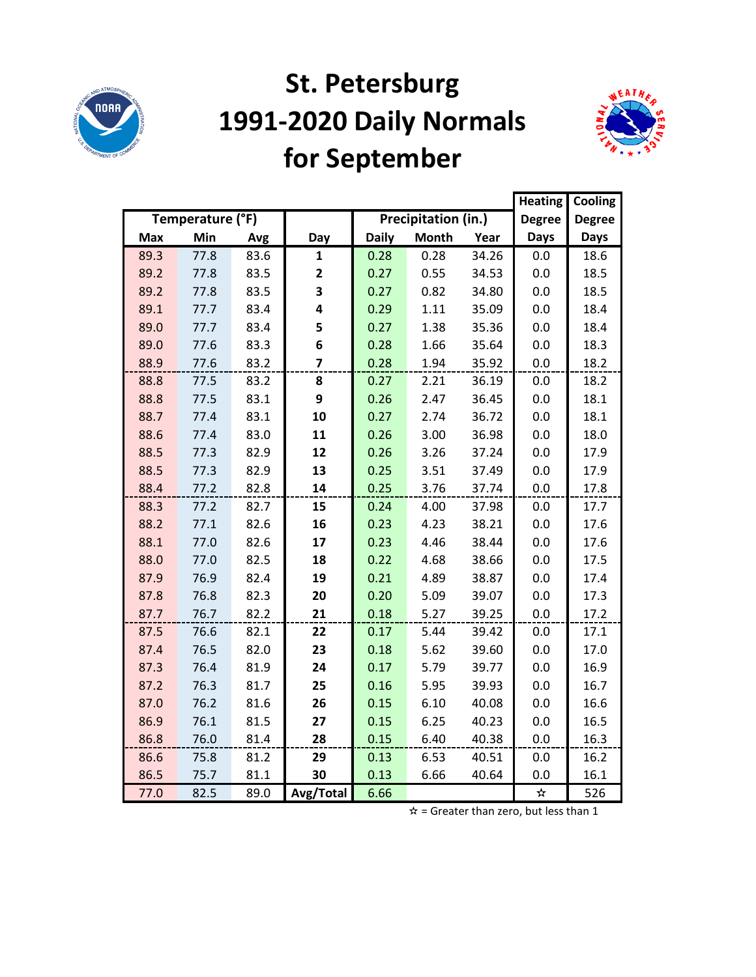

### **St. Petersburg 1991-2020 Daily Normals for September**



|            |                  |      |                |              |                     |       | <b>Heating</b> | Cooling       |
|------------|------------------|------|----------------|--------------|---------------------|-------|----------------|---------------|
|            | Temperature (°F) |      |                |              | Precipitation (in.) |       | <b>Degree</b>  | <b>Degree</b> |
| <b>Max</b> | Min              | Avg  | Day            | <b>Daily</b> | <b>Month</b>        | Year  | <b>Days</b>    | <b>Days</b>   |
| 89.3       | 77.8             | 83.6 | 1              | 0.28         | 0.28                | 34.26 | 0.0            | 18.6          |
| 89.2       | 77.8             | 83.5 | 2              | 0.27         | 0.55                | 34.53 | 0.0            | 18.5          |
| 89.2       | 77.8             | 83.5 | 3              | 0.27         | 0.82                | 34.80 | 0.0            | 18.5          |
| 89.1       | 77.7             | 83.4 | 4              | 0.29         | 1.11                | 35.09 | 0.0            | 18.4          |
| 89.0       | 77.7             | 83.4 | 5              | 0.27         | 1.38                | 35.36 | 0.0            | 18.4          |
| 89.0       | 77.6             | 83.3 | 6              | 0.28         | 1.66                | 35.64 | 0.0            | 18.3          |
| 88.9       | 77.6             | 83.2 | $\overline{7}$ | 0.28         | 1.94                | 35.92 | 0.0            | 18.2          |
| 88.8       | 77.5             | 83.2 | 8              | 0.27         | 2.21                | 36.19 | 0.0            | 18.2          |
| 88.8       | 77.5             | 83.1 | 9              | 0.26         | 2.47                | 36.45 | 0.0            | 18.1          |
| 88.7       | 77.4             | 83.1 | 10             | 0.27         | 2.74                | 36.72 | 0.0            | 18.1          |
| 88.6       | 77.4             | 83.0 | 11             | 0.26         | 3.00                | 36.98 | 0.0            | 18.0          |
| 88.5       | 77.3             | 82.9 | 12             | 0.26         | 3.26                | 37.24 | 0.0            | 17.9          |
| 88.5       | 77.3             | 82.9 | 13             | 0.25         | 3.51                | 37.49 | 0.0            | 17.9          |
| 88.4       | 77.2             | 82.8 | 14             | 0.25         | 3.76                | 37.74 | 0.0            | 17.8          |
| 88.3       | 77.2             | 82.7 | 15             | 0.24         | 4.00                | 37.98 | 0.0            | 17.7          |
| 88.2       | 77.1             | 82.6 | 16             | 0.23         | 4.23                | 38.21 | 0.0            | 17.6          |
| 88.1       | 77.0             | 82.6 | 17             | 0.23         | 4.46                | 38.44 | 0.0            | 17.6          |
| 88.0       | 77.0             | 82.5 | 18             | 0.22         | 4.68                | 38.66 | 0.0            | 17.5          |
| 87.9       | 76.9             | 82.4 | 19             | 0.21         | 4.89                | 38.87 | 0.0            | 17.4          |
| 87.8       | 76.8             | 82.3 | 20             | 0.20         | 5.09                | 39.07 | 0.0            | 17.3          |
| 87.7       | 76.7             | 82.2 | 21             | 0.18         | 5.27                | 39.25 | 0.0            | 17.2          |
| 87.5       | 76.6             | 82.1 | 22             | 0.17         | 5.44                | 39.42 | 0.0            | 17.1          |
| 87.4       | 76.5             | 82.0 | 23             | 0.18         | 5.62                | 39.60 | 0.0            | 17.0          |
| 87.3       | 76.4             | 81.9 | 24             | 0.17         | 5.79                | 39.77 | 0.0            | 16.9          |
| 87.2       | 76.3             | 81.7 | 25             | 0.16         | 5.95                | 39.93 | 0.0            | 16.7          |
| 87.0       | 76.2             | 81.6 | 26             | 0.15         | 6.10                | 40.08 | 0.0            | 16.6          |
| 86.9       | 76.1             | 81.5 | 27             | 0.15         | 6.25                | 40.23 | 0.0            | 16.5          |
| 86.8       | 76.0             | 81.4 | 28             | 0.15         | 6.40                | 40.38 | 0.0            | 16.3          |
| 86.6       | 75.8             | 81.2 | 29             | 0.13         | 6.53                | 40.51 | 0.0            | 16.2          |
| 86.5       | 75.7             | 81.1 | 30             | 0.13         | 6.66                | 40.64 | 0.0            | 16.1          |
| 77.0       | 82.5             | 89.0 | Avg/Total      | 6.66         |                     |       | ☆              | 526           |

 $\hat{x}$  = Greater than zero, but less than 1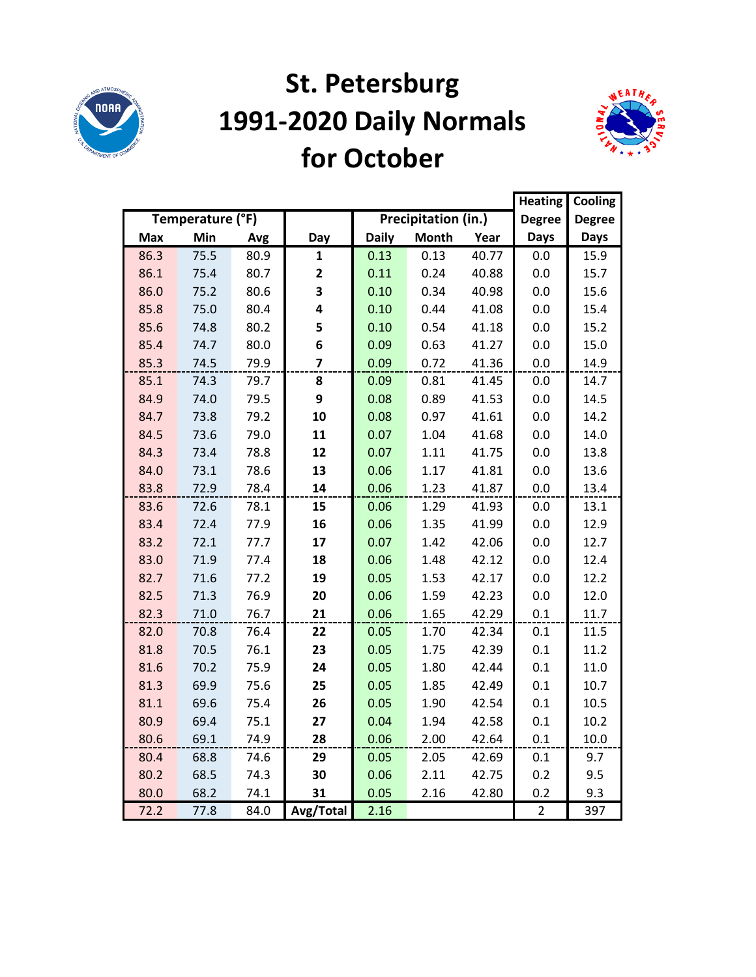

### **St. Petersburg 1991-2020 Daily Normals for October**



|            |                  |      |                         |              |                     |       | <b>Heating</b> | Cooling       |
|------------|------------------|------|-------------------------|--------------|---------------------|-------|----------------|---------------|
|            | Temperature (°F) |      |                         |              | Precipitation (in.) |       | <b>Degree</b>  | <b>Degree</b> |
| <b>Max</b> | Min              | Avg  | Day                     | <b>Daily</b> | <b>Month</b>        | Year  | <b>Days</b>    | <b>Days</b>   |
| 86.3       | 75.5             | 80.9 | 1                       | 0.13         | 0.13                | 40.77 | 0.0            | 15.9          |
| 86.1       | 75.4             | 80.7 | $\mathbf{2}$            | 0.11         | 0.24                | 40.88 | 0.0            | 15.7          |
| 86.0       | 75.2             | 80.6 | 3                       | 0.10         | 0.34                | 40.98 | 0.0            | 15.6          |
| 85.8       | 75.0             | 80.4 | 4                       | 0.10         | 0.44                | 41.08 | 0.0            | 15.4          |
| 85.6       | 74.8             | 80.2 | 5                       | 0.10         | 0.54                | 41.18 | 0.0            | 15.2          |
| 85.4       | 74.7             | 80.0 | 6                       | 0.09         | 0.63                | 41.27 | 0.0            | 15.0          |
| 85.3       | 74.5             | 79.9 | $\overline{\mathbf{z}}$ | 0.09         | 0.72                | 41.36 | 0.0            | 14.9          |
| 85.1       | 74.3             | 79.7 | 8                       | 0.09         | 0.81                | 41.45 | 0.0            | 14.7          |
| 84.9       | 74.0             | 79.5 | 9                       | 0.08         | 0.89                | 41.53 | 0.0            | 14.5          |
| 84.7       | 73.8             | 79.2 | 10                      | 0.08         | 0.97                | 41.61 | 0.0            | 14.2          |
| 84.5       | 73.6             | 79.0 | 11                      | 0.07         | 1.04                | 41.68 | 0.0            | 14.0          |
| 84.3       | 73.4             | 78.8 | 12                      | 0.07         | 1.11                | 41.75 | 0.0            | 13.8          |
| 84.0       | 73.1             | 78.6 | 13                      | 0.06         | 1.17                | 41.81 | 0.0            | 13.6          |
| 83.8       | 72.9             | 78.4 | 14                      | 0.06         | 1.23                | 41.87 | 0.0            | 13.4          |
| 83.6       | 72.6             | 78.1 | 15                      | 0.06         | 1.29                | 41.93 | 0.0            | 13.1          |
| 83.4       | 72.4             | 77.9 | 16                      | 0.06         | 1.35                | 41.99 | 0.0            | 12.9          |
| 83.2       | 72.1             | 77.7 | 17                      | 0.07         | 1.42                | 42.06 | 0.0            | 12.7          |
| 83.0       | 71.9             | 77.4 | 18                      | 0.06         | 1.48                | 42.12 | 0.0            | 12.4          |
| 82.7       | 71.6             | 77.2 | 19                      | 0.05         | 1.53                | 42.17 | 0.0            | 12.2          |
| 82.5       | 71.3             | 76.9 | 20                      | 0.06         | 1.59                | 42.23 | 0.0            | 12.0          |
| 82.3       | 71.0             | 76.7 | 21                      | 0.06         | 1.65                | 42.29 | 0.1            | 11.7          |
| 82.0       | 70.8             | 76.4 | 22                      | 0.05         | 1.70                | 42.34 | 0.1            | 11.5          |
| 81.8       | 70.5             | 76.1 | 23                      | 0.05         | 1.75                | 42.39 | 0.1            | 11.2          |
| 81.6       | 70.2             | 75.9 | 24                      | 0.05         | 1.80                | 42.44 | 0.1            | 11.0          |
| 81.3       | 69.9             | 75.6 | 25                      | 0.05         | 1.85                | 42.49 | 0.1            | 10.7          |
| 81.1       | 69.6             | 75.4 | 26                      | 0.05         | 1.90                | 42.54 | 0.1            | 10.5          |
| 80.9       | 69.4             | 75.1 | 27                      | 0.04         | 1.94                | 42.58 | 0.1            | 10.2          |
| 80.6       | 69.1             | 74.9 | 28                      | 0.06         | 2.00                | 42.64 | 0.1            | 10.0          |
| 80.4       | 68.8             | 74.6 | 29                      | 0.05         | 2.05                | 42.69 | 0.1            | 9.7           |
| 80.2       | 68.5             | 74.3 | 30                      | 0.06         | 2.11                | 42.75 | 0.2            | 9.5           |
| 80.0       | 68.2             | 74.1 | 31                      | 0.05         | 2.16                | 42.80 | 0.2            | 9.3           |
| 72.2       | 77.8             | 84.0 | Avg/Total               | 2.16         |                     |       | $\overline{2}$ | 397           |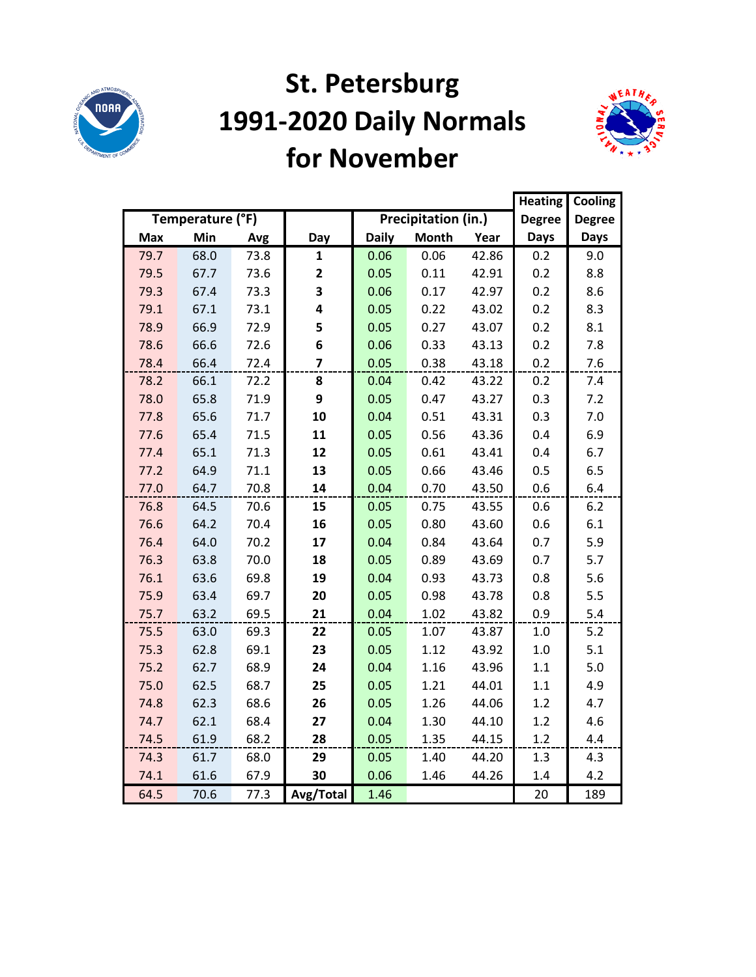

### **St. Petersburg 1991-2020 Daily Normals for November**



|            |                  |      |                |              |                     |       | <b>Heating</b> | Cooling       |
|------------|------------------|------|----------------|--------------|---------------------|-------|----------------|---------------|
|            | Temperature (°F) |      |                |              | Precipitation (in.) |       | <b>Degree</b>  | <b>Degree</b> |
| <b>Max</b> | Min              | Avg  | Day            | <b>Daily</b> | <b>Month</b>        | Year  | <b>Days</b>    | <b>Days</b>   |
| 79.7       | 68.0             | 73.8 | $\mathbf{1}$   | 0.06         | 0.06                | 42.86 | 0.2            | 9.0           |
| 79.5       | 67.7             | 73.6 | 2              | 0.05         | 0.11                | 42.91 | 0.2            | 8.8           |
| 79.3       | 67.4             | 73.3 | 3              | 0.06         | 0.17                | 42.97 | 0.2            | 8.6           |
| 79.1       | 67.1             | 73.1 | 4              | 0.05         | 0.22                | 43.02 | 0.2            | 8.3           |
| 78.9       | 66.9             | 72.9 | 5              | 0.05         | 0.27                | 43.07 | 0.2            | 8.1           |
| 78.6       | 66.6             | 72.6 | 6              | 0.06         | 0.33                | 43.13 | 0.2            | 7.8           |
| 78.4       | 66.4             | 72.4 | $\overline{7}$ | 0.05         | 0.38                | 43.18 | 0.2            | 7.6           |
| 78.2       | 66.1             | 72.2 | 8              | 0.04         | 0.42                | 43.22 | 0.2            | 7.4           |
| 78.0       | 65.8             | 71.9 | 9              | 0.05         | 0.47                | 43.27 | 0.3            | 7.2           |
| 77.8       | 65.6             | 71.7 | 10             | 0.04         | 0.51                | 43.31 | 0.3            | 7.0           |
| 77.6       | 65.4             | 71.5 | 11             | 0.05         | 0.56                | 43.36 | 0.4            | 6.9           |
| 77.4       | 65.1             | 71.3 | 12             | 0.05         | 0.61                | 43.41 | 0.4            | 6.7           |
| 77.2       | 64.9             | 71.1 | 13             | 0.05         | 0.66                | 43.46 | 0.5            | 6.5           |
| 77.0       | 64.7             | 70.8 | 14             | 0.04         | 0.70                | 43.50 | 0.6            | 6.4           |
| 76.8       | 64.5             | 70.6 | 15             | 0.05         | 0.75                | 43.55 | 0.6            | 6.2           |
| 76.6       | 64.2             | 70.4 | 16             | 0.05         | 0.80                | 43.60 | 0.6            | 6.1           |
| 76.4       | 64.0             | 70.2 | 17             | 0.04         | 0.84                | 43.64 | 0.7            | 5.9           |
| 76.3       | 63.8             | 70.0 | 18             | 0.05         | 0.89                | 43.69 | 0.7            | 5.7           |
| 76.1       | 63.6             | 69.8 | 19             | 0.04         | 0.93                | 43.73 | 0.8            | 5.6           |
| 75.9       | 63.4             | 69.7 | 20             | 0.05         | 0.98                | 43.78 | 0.8            | 5.5           |
| 75.7       | 63.2             | 69.5 | 21             | 0.04         | 1.02                | 43.82 | 0.9            | 5.4           |
| 75.5       | 63.0             | 69.3 | 22             | 0.05         | 1.07                | 43.87 | $1.0$          | 5.2           |
| 75.3       | 62.8             | 69.1 | 23             | 0.05         | 1.12                | 43.92 | $1.0$          | 5.1           |
| 75.2       | 62.7             | 68.9 | 24             | 0.04         | 1.16                | 43.96 | 1.1            | 5.0           |
| 75.0       | 62.5             | 68.7 | 25             | 0.05         | 1.21                | 44.01 | 1.1            | 4.9           |
| 74.8       | 62.3             | 68.6 | 26             | 0.05         | 1.26                | 44.06 | 1.2            | 4.7           |
| 74.7       | 62.1             | 68.4 | 27             | 0.04         | 1.30                | 44.10 | 1.2            | 4.6           |
| 74.5       | 61.9             | 68.2 | 28             | 0.05         | 1.35                | 44.15 | 1.2            | 4.4           |
| 74.3       | 61.7             | 68.0 | 29             | 0.05         | 1.40                | 44.20 | 1.3            | 4.3           |
| 74.1       | 61.6             | 67.9 | 30             | 0.06         | 1.46                | 44.26 | 1.4            | 4.2           |
| 64.5       | 70.6             | 77.3 | Avg/Total      | 1.46         |                     |       | 20             | 189           |